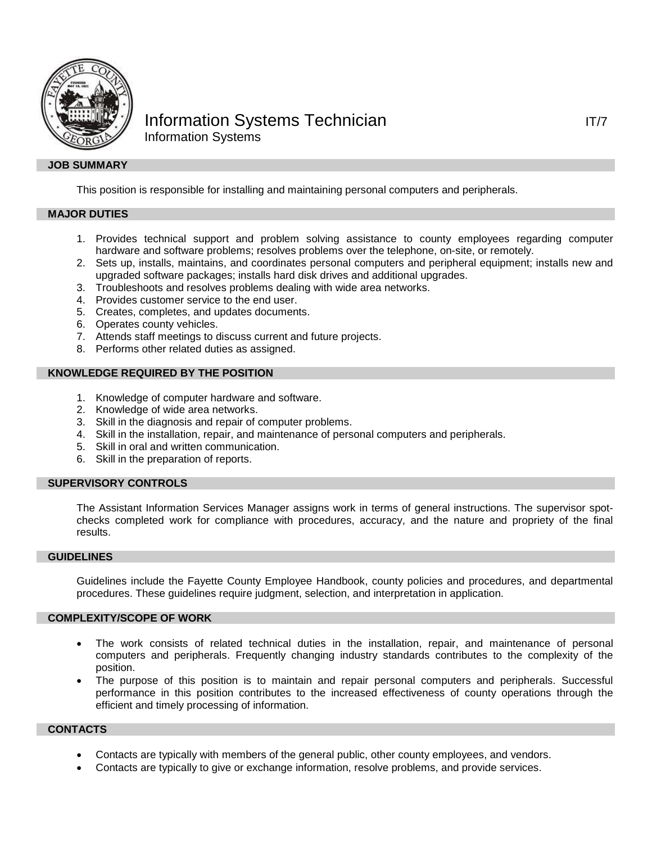

# Information Systems Technician IT/7 Information Systems

# **JOB SUMMARY**

This position is responsible for installing and maintaining personal computers and peripherals.

## **MAJOR DUTIES**

- 1. Provides technical support and problem solving assistance to county employees regarding computer hardware and software problems; resolves problems over the telephone, on-site, or remotely.
- 2. Sets up, installs, maintains, and coordinates personal computers and peripheral equipment; installs new and upgraded software packages; installs hard disk drives and additional upgrades.
- 3. Troubleshoots and resolves problems dealing with wide area networks.
- 4. Provides customer service to the end user.
- 5. Creates, completes, and updates documents.
- 6. Operates county vehicles.
- 7. Attends staff meetings to discuss current and future projects.
- 8. Performs other related duties as assigned.

#### **KNOWLEDGE REQUIRED BY THE POSITION**

- 1. Knowledge of computer hardware and software.
- 2. Knowledge of wide area networks.
- 3. Skill in the diagnosis and repair of computer problems.
- 4. Skill in the installation, repair, and maintenance of personal computers and peripherals.
- 5. Skill in oral and written communication.
- 6. Skill in the preparation of reports.

#### **SUPERVISORY CONTROLS**

The Assistant Information Services Manager assigns work in terms of general instructions. The supervisor spotchecks completed work for compliance with procedures, accuracy, and the nature and propriety of the final results.

### **GUIDELINES**

Guidelines include the Fayette County Employee Handbook, county policies and procedures, and departmental procedures. These guidelines require judgment, selection, and interpretation in application.

#### **COMPLEXITY/SCOPE OF WORK**

- The work consists of related technical duties in the installation, repair, and maintenance of personal computers and peripherals. Frequently changing industry standards contributes to the complexity of the position.
- The purpose of this position is to maintain and repair personal computers and peripherals. Successful performance in this position contributes to the increased effectiveness of county operations through the efficient and timely processing of information.

## **CONTACTS**

- Contacts are typically with members of the general public, other county employees, and vendors.
- Contacts are typically to give or exchange information, resolve problems, and provide services.